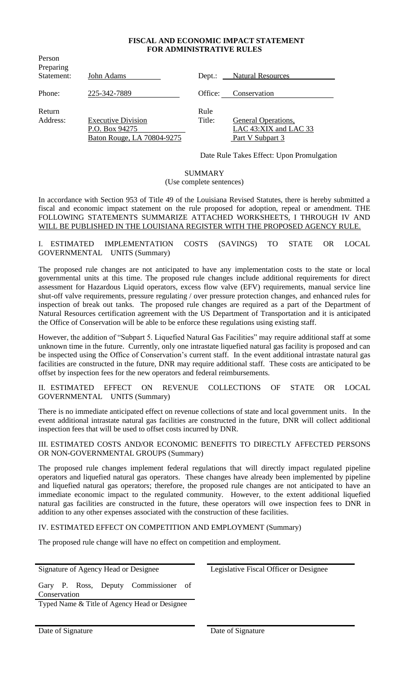### **FISCAL AND ECONOMIC IMPACT STATEMENT FOR ADMINISTRATIVE RULES**

| Preparing<br>Statement: | John Adams                                                                | $Dept.$ :      | <b>Natural Resources</b>                                                |
|-------------------------|---------------------------------------------------------------------------|----------------|-------------------------------------------------------------------------|
| Phone:                  | 225-342-7889                                                              | Office:        | Conservation                                                            |
| Return<br>Address:      | <b>Executive Division</b><br>P.O. Box 94275<br>Baton Rouge, LA 70804-9275 | Rule<br>Title: | <b>General Operations,</b><br>LAC 43:XIX and LAC 33<br>Part V Subpart 3 |

Person

Date Rule Takes Effect: Upon Promulgation

#### SUMMARY

#### (Use complete sentences)

In accordance with Section 953 of Title 49 of the Louisiana Revised Statutes, there is hereby submitted a fiscal and economic impact statement on the rule proposed for adoption, repeal or amendment. THE FOLLOWING STATEMENTS SUMMARIZE ATTACHED WORKSHEETS, I THROUGH IV AND WILL BE PUBLISHED IN THE LOUISIANA REGISTER WITH THE PROPOSED AGENCY RULE.

I. ESTIMATED IMPLEMENTATION COSTS (SAVINGS) TO STATE OR LOCAL GOVERNMENTAL UNITS (Summary)

The proposed rule changes are not anticipated to have any implementation costs to the state or local governmental units at this time. The proposed rule changes include additional requirements for direct assessment for Hazardous Liquid operators, excess flow valve (EFV) requirements, manual service line shut-off valve requirements, pressure regulating / over pressure protection changes, and enhanced rules for inspection of break out tanks. The proposed rule changes are required as a part of the Department of Natural Resources certification agreement with the US Department of Transportation and it is anticipated the Office of Conservation will be able to be enforce these regulations using existing staff.

However, the addition of "Subpart 5. Liquefied Natural Gas Facilities" may require additional staff at some unknown time in the future. Currently, only one intrastate liquefied natural gas facility is proposed and can be inspected using the Office of Conservation's current staff. In the event additional intrastate natural gas facilities are constructed in the future, DNR may require additional staff. These costs are anticipated to be offset by inspection fees for the new operators and federal reimbursements.

II. ESTIMATED EFFECT ON REVENUE COLLECTIONS OF STATE OR LOCAL GOVERNMENTAL UNITS (Summary)

There is no immediate anticipated effect on revenue collections of state and local government units. In the event additional intrastate natural gas facilities are constructed in the future, DNR will collect additional inspection fees that will be used to offset costs incurred by DNR.

III. ESTIMATED COSTS AND/OR ECONOMIC BENEFITS TO DIRECTLY AFFECTED PERSONS OR NON-GOVERNMENTAL GROUPS (Summary)

The proposed rule changes implement federal regulations that will directly impact regulated pipeline operators and liquefied natural gas operators. These changes have already been implemented by pipeline and liquefied natural gas operators; therefore, the proposed rule changes are not anticipated to have an immediate economic impact to the regulated community. However, to the extent additional liquefied natural gas facilities are constructed in the future, these operators will owe inspection fees to DNR in addition to any other expenses associated with the construction of these facilities.

IV. ESTIMATED EFFECT ON COMPETITION AND EMPLOYMENT (Summary)

The proposed rule change will have no effect on competition and employment.

Signature of Agency Head or Designee Legislative Fiscal Officer or Designee

Gary P. Ross, Deputy Commissioner of Conservation

Typed Name & Title of Agency Head or Designee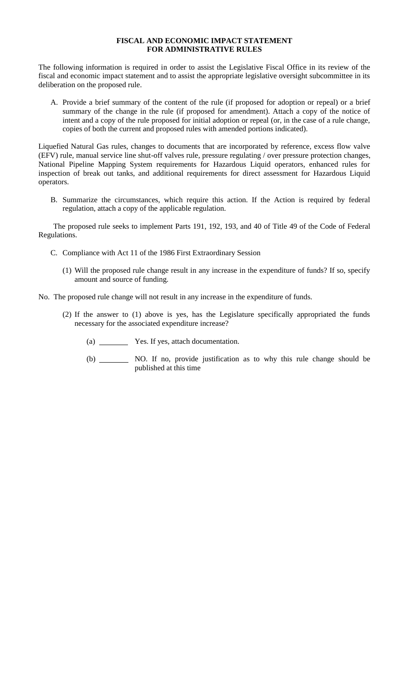## **FISCAL AND ECONOMIC IMPACT STATEMENT FOR ADMINISTRATIVE RULES**

The following information is required in order to assist the Legislative Fiscal Office in its review of the fiscal and economic impact statement and to assist the appropriate legislative oversight subcommittee in its deliberation on the proposed rule.

A. Provide a brief summary of the content of the rule (if proposed for adoption or repeal) or a brief summary of the change in the rule (if proposed for amendment). Attach a copy of the notice of intent and a copy of the rule proposed for initial adoption or repeal (or, in the case of a rule change, copies of both the current and proposed rules with amended portions indicated).

Liquefied Natural Gas rules, changes to documents that are incorporated by reference, excess flow valve (EFV) rule, manual service line shut-off valves rule, pressure regulating / over pressure protection changes, National Pipeline Mapping System requirements for Hazardous Liquid operators, enhanced rules for inspection of break out tanks, and additional requirements for direct assessment for Hazardous Liquid operators.

B. Summarize the circumstances, which require this action. If the Action is required by federal regulation, attach a copy of the applicable regulation.

The proposed rule seeks to implement Parts 191, 192, 193, and 40 of Title 49 of the Code of Federal Regulations.

- C. Compliance with Act 11 of the 1986 First Extraordinary Session
	- (1) Will the proposed rule change result in any increase in the expenditure of funds? If so, specify amount and source of funding.

No. The proposed rule change will not result in any increase in the expenditure of funds.

- (2) If the answer to (1) above is yes, has the Legislature specifically appropriated the funds necessary for the associated expenditure increase?
	- (a) Yes. If yes, attach documentation.
	- (b) NO. If no, provide justification as to why this rule change should be published at this time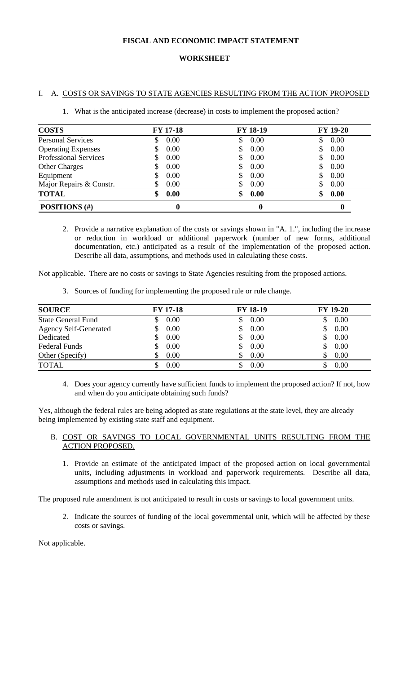## **FISCAL AND ECONOMIC IMPACT STATEMENT**

### **WORKSHEET**

### I. A. COSTS OR SAVINGS TO STATE AGENCIES RESULTING FROM THE ACTION PROPOSED

|  | 1. What is the anticipated increase (decrease) in costs to implement the proposed action? |  |  |  |  |
|--|-------------------------------------------------------------------------------------------|--|--|--|--|
|--|-------------------------------------------------------------------------------------------|--|--|--|--|

| <b>COSTS</b>                 | <b>FY 17-18</b> | <b>FY 18-19</b> | <b>FY 19-20</b> |
|------------------------------|-----------------|-----------------|-----------------|
| <b>Personal Services</b>     | 0.00            | 0.00            | 0.00            |
| <b>Operating Expenses</b>    | 0.00            | 0.00            | 0.00            |
| <b>Professional Services</b> | 0.00            | 0.00<br>S       | 0.00            |
| <b>Other Charges</b>         | 0.00            | 0.00            | 0.00            |
| Equipment                    | 0.00            | 0.00            | 0.00            |
| Major Repairs & Constr.      | 0.00<br>ง       | 0.00            | 0.00            |
| <b>TOTAL</b>                 | 0.00<br>æ       | 0.00<br>\$      | 0.00            |
| POSITIONS (#)                |                 | 0               |                 |

2. Provide a narrative explanation of the costs or savings shown in "A. 1.", including the increase or reduction in workload or additional paperwork (number of new forms, additional documentation, etc.) anticipated as a result of the implementation of the proposed action. Describe all data, assumptions, and methods used in calculating these costs.

Not applicable. There are no costs or savings to State Agencies resulting from the proposed actions.

3. Sources of funding for implementing the proposed rule or rule change.

| <b>SOURCE</b>                | <b>FY 17-18</b> | <b>FY 18-19</b> | <b>FY 19-20</b> |
|------------------------------|-----------------|-----------------|-----------------|
| <b>State General Fund</b>    | 0.00            | 0.00            | 0.00            |
| <b>Agency Self-Generated</b> | 0.00            | 0.00            | 0.00            |
| Dedicated                    | 0.00            | 0.00<br>S       | 0.00            |
| Federal Funds                | 0.00            | 0.00            | 0.00            |
| Other (Specify)              | 0.00            | 0.00            | 0.00            |
| <b>TOTAL</b>                 | 0.00            | 0.00            | 0.00            |

4. Does your agency currently have sufficient funds to implement the proposed action? If not, how and when do you anticipate obtaining such funds?

Yes, although the federal rules are being adopted as state regulations at the state level, they are already being implemented by existing state staff and equipment.

- B. COST OR SAVINGS TO LOCAL GOVERNMENTAL UNITS RESULTING FROM THE ACTION PROPOSED.
	- 1. Provide an estimate of the anticipated impact of the proposed action on local governmental units, including adjustments in workload and paperwork requirements. Describe all data, assumptions and methods used in calculating this impact.

The proposed rule amendment is not anticipated to result in costs or savings to local government units.

2. Indicate the sources of funding of the local governmental unit, which will be affected by these costs or savings.

Not applicable.